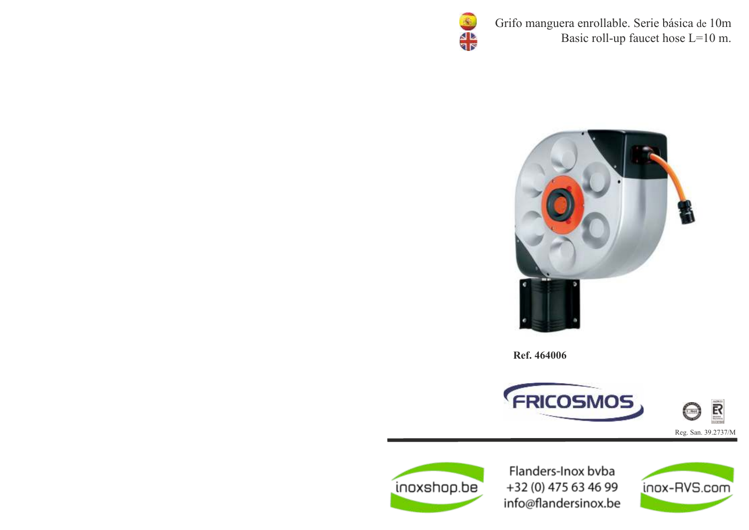

Grifo manguera enrollable. Serie básica de 10m Basic roll-up faucet hose L=10 m.



Ref. 464006





Flanders-Inox bvba +32 (0) 475 63 46 99 info@flandersinox.be